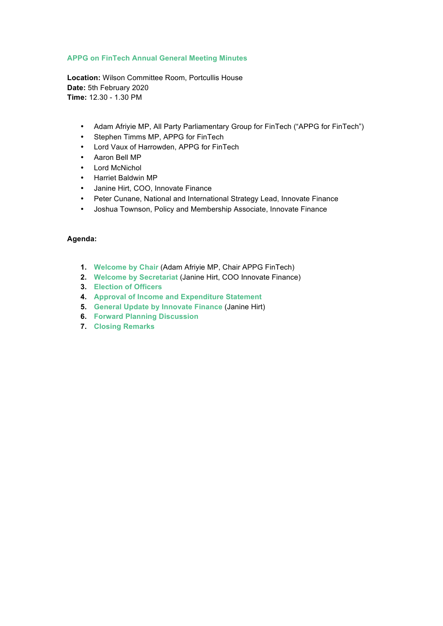## **APPG on FinTech Annual General Meeting Minutes**

**Location:** Wilson Committee Room, Portcullis House **Date:** 5th February 2020 **Time:** 12.30 - 1.30 PM

- Adam Afriyie MP, All Party Parliamentary Group for FinTech ("APPG for FinTech")
- Stephen Timms MP, APPG for FinTech
- Lord Vaux of Harrowden, APPG for FinTech
- Aaron Bell MP
- Lord McNichol
- Harriet Baldwin MP
- Janine Hirt, COO, Innovate Finance
- Peter Cunane, National and International Strategy Lead, Innovate Finance
- Joshua Townson, Policy and Membership Associate, Innovate Finance

## **Agenda:**

- **1. Welcome by Chair** (Adam Afriyie MP, Chair APPG FinTech)
- **2. Welcome by Secretariat** (Janine Hirt, COO Innovate Finance)
- **3. Election of Officers**
- **4. Approval of Income and Expenditure Statement**
- **5. General Update by Innovate Finance** (Janine Hirt)
- **6. Forward Planning Discussion**
- **7. Closing Remarks**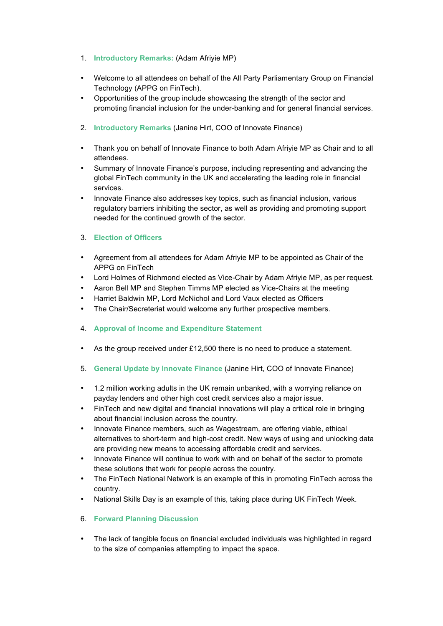- 1. **Introductory Remarks:** (Adam Afriyie MP)
- Welcome to all attendees on behalf of the All Party Parliamentary Group on Financial Technology (APPG on FinTech).
- Opportunities of the group include showcasing the strength of the sector and promoting financial inclusion for the under-banking and for general financial services.
- 2. **Introductory Remarks** (Janine Hirt, COO of Innovate Finance)
- Thank you on behalf of Innovate Finance to both Adam Afriyie MP as Chair and to all attendees.
- Summary of Innovate Finance's purpose, including representing and advancing the global FinTech community in the UK and accelerating the leading role in financial services.
- Innovate Finance also addresses key topics, such as financial inclusion, various regulatory barriers inhibiting the sector, as well as providing and promoting support needed for the continued growth of the sector.

## 3. **Election of Officers**

- Agreement from all attendees for Adam Afriyie MP to be appointed as Chair of the APPG on FinTech
- Lord Holmes of Richmond elected as Vice-Chair by Adam Afriyie MP, as per request.
- Aaron Bell MP and Stephen Timms MP elected as Vice-Chairs at the meeting
- Harriet Baldwin MP, Lord McNichol and Lord Vaux elected as Officers
- The Chair/Secreteriat would welcome any further prospective members.
- 4. **Approval of Income and Expenditure Statement**
- As the group received under £12,500 there is no need to produce a statement.
- 5. **General Update by Innovate Finance** (Janine Hirt, COO of Innovate Finance)
- 1.2 million working adults in the UK remain unbanked, with a worrying reliance on payday lenders and other high cost credit services also a major issue.
- FinTech and new digital and financial innovations will play a critical role in bringing about financial inclusion across the country.
- Innovate Finance members, such as Wagestream, are offering viable, ethical alternatives to short-term and high-cost credit. New ways of using and unlocking data are providing new means to accessing affordable credit and services.
- Innovate Finance will continue to work with and on behalf of the sector to promote these solutions that work for people across the country.
- The FinTech National Network is an example of this in promoting FinTech across the country.
- National Skills Day is an example of this, taking place during UK FinTech Week.
- 6. **Forward Planning Discussion**
- The lack of tangible focus on financial excluded individuals was highlighted in regard to the size of companies attempting to impact the space.